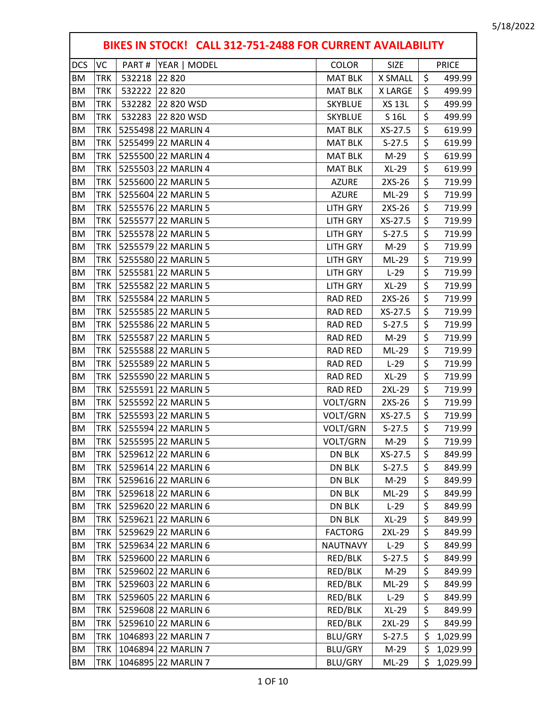|            | BIKES IN STOCK! CALL 312-751-2488 FOR CURRENT AVAILABILITY |        |                     |                 |               |    |              |  |  |
|------------|------------------------------------------------------------|--------|---------------------|-----------------|---------------|----|--------------|--|--|
| <b>DCS</b> | VC                                                         | PART#  | YEAR   MODEL        | <b>COLOR</b>    | <b>SIZE</b>   |    | <b>PRICE</b> |  |  |
| BM         | <b>TRK</b>                                                 | 532218 | 22 8 20             | <b>MAT BLK</b>  | X SMALL       | \$ | 499.99       |  |  |
| ΒM         | <b>TRK</b>                                                 | 532222 | 22 8 20             | <b>MAT BLK</b>  | X LARGE       | \$ | 499.99       |  |  |
| BM         | TRK                                                        | 532282 | 22 820 WSD          | <b>SKYBLUE</b>  | <b>XS 13L</b> | \$ | 499.99       |  |  |
| BM         | <b>TRK</b>                                                 | 532283 | 22 820 WSD          | <b>SKYBLUE</b>  | S 16L         | \$ | 499.99       |  |  |
| BM         | <b>TRK</b>                                                 |        | 5255498 22 MARLIN 4 | <b>MAT BLK</b>  | $XS-27.5$     | \$ | 619.99       |  |  |
| ΒM         | <b>TRK</b>                                                 |        | 5255499 22 MARLIN 4 | <b>MAT BLK</b>  | $S-27.5$      | \$ | 619.99       |  |  |
| <b>BM</b>  | <b>TRK</b>                                                 |        | 5255500 22 MARLIN 4 | <b>MAT BLK</b>  | $M-29$        | \$ | 619.99       |  |  |
| ΒM         | <b>TRK</b>                                                 |        | 5255503 22 MARLIN 4 | <b>MAT BLK</b>  | $XL-29$       | \$ | 619.99       |  |  |
| BM         | <b>TRK</b>                                                 |        | 5255600 22 MARLIN 5 | <b>AZURE</b>    | 2XS-26        | \$ | 719.99       |  |  |
| ΒM         | TRK                                                        |        | 5255604 22 MARLIN 5 | <b>AZURE</b>    | ML-29         | \$ | 719.99       |  |  |
| <b>BM</b>  | <b>TRK</b>                                                 |        | 5255576 22 MARLIN 5 | <b>LITH GRY</b> | 2XS-26        | \$ | 719.99       |  |  |
| BM         | <b>TRK</b>                                                 |        | 5255577 22 MARLIN 5 | <b>LITH GRY</b> | $XS-27.5$     | \$ | 719.99       |  |  |
| ΒM         | <b>TRK</b>                                                 |        | 5255578 22 MARLIN 5 | <b>LITH GRY</b> | $S-27.5$      | \$ | 719.99       |  |  |
| <b>BM</b>  | <b>TRK</b>                                                 |        | 5255579 22 MARLIN 5 | <b>LITH GRY</b> | $M-29$        | \$ | 719.99       |  |  |
| ΒM         | TRK                                                        |        | 5255580 22 MARLIN 5 | <b>LITH GRY</b> | ML-29         | \$ | 719.99       |  |  |
| <b>BM</b>  | <b>TRK</b>                                                 |        | 5255581 22 MARLIN 5 | <b>LITH GRY</b> | $L-29$        | \$ | 719.99       |  |  |
| BM         | TRK                                                        |        | 5255582 22 MARLIN 5 | <b>LITH GRY</b> | $XL-29$       | \$ | 719.99       |  |  |
| <b>BM</b>  | <b>TRK</b>                                                 |        | 5255584 22 MARLIN 5 | <b>RAD RED</b>  | 2XS-26        | \$ | 719.99       |  |  |
| <b>BM</b>  | <b>TRK</b>                                                 |        | 5255585 22 MARLIN 5 | <b>RAD RED</b>  | XS-27.5       | \$ | 719.99       |  |  |
| BM         | <b>TRK</b>                                                 |        | 5255586 22 MARLIN 5 | <b>RAD RED</b>  | $S-27.5$      | \$ | 719.99       |  |  |
| BM         | <b>TRK</b>                                                 |        | 5255587 22 MARLIN 5 | <b>RAD RED</b>  | $M-29$        | \$ | 719.99       |  |  |
| <b>BM</b>  | TRK                                                        |        | 5255588 22 MARLIN 5 | <b>RAD RED</b>  | ML-29         | \$ | 719.99       |  |  |
| <b>BM</b>  | <b>TRK</b>                                                 |        | 5255589 22 MARLIN 5 | <b>RAD RED</b>  | $L-29$        | \$ | 719.99       |  |  |
| ΒM         | <b>TRK</b>                                                 |        | 5255590 22 MARLIN 5 | <b>RAD RED</b>  | XL-29         | \$ | 719.99       |  |  |
| ΒM         | <b>TRK</b>                                                 |        | 5255591 22 MARLIN 5 | <b>RAD RED</b>  | 2XL-29        | \$ | 719.99       |  |  |
| ΒM         | <b>TRK</b>                                                 |        | 5255592 22 MARLIN 5 | VOLT/GRN        | 2XS-26        | \$ | 719.99       |  |  |
| ΒM         | TRK                                                        |        | 5255593 22 MARLIN 5 | VOLT/GRN        | XS-27.5       | \$ | 719.99       |  |  |
| BM         | TRK                                                        |        | 5255594 22 MARLIN 5 | VOLT/GRN        | $S-27.5$      | \$ | 719.99       |  |  |
| ВM         | TRK                                                        |        | 5255595 22 MARLIN 5 | VOLT/GRN        | M-29          | Ş  | 719.99       |  |  |
| <b>BM</b>  | TRK                                                        |        | 5259612 22 MARLIN 6 | <b>DN BLK</b>   | XS-27.5       | \$ | 849.99       |  |  |
| ВM         | TRK                                                        |        | 5259614 22 MARLIN 6 | DN BLK          | $S-27.5$      | \$ | 849.99       |  |  |
| BM         | TRK                                                        |        | 5259616 22 MARLIN 6 | DN BLK          | M-29          | \$ | 849.99       |  |  |
| BM         | TRK                                                        |        | 5259618 22 MARLIN 6 | DN BLK          | ML-29         | \$ | 849.99       |  |  |
| ВM         | TRK                                                        |        | 5259620 22 MARLIN 6 | <b>DN BLK</b>   | $L-29$        | \$ | 849.99       |  |  |
| BM         | TRK                                                        |        | 5259621 22 MARLIN 6 | DN BLK          | XL-29         | \$ | 849.99       |  |  |
| ВM         | TRK                                                        |        | 5259629 22 MARLIN 6 | <b>FACTORG</b>  | 2XL-29        | \$ | 849.99       |  |  |
| BM         | TRK                                                        |        | 5259634 22 MARLIN 6 | <b>NAUTNAVY</b> | $L-29$        | \$ | 849.99       |  |  |
| ВM         | TRK                                                        |        | 5259600 22 MARLIN 6 | RED/BLK         | $S-27.5$      | \$ | 849.99       |  |  |
| ВM         | TRK                                                        |        | 5259602 22 MARLIN 6 | RED/BLK         | M-29          | \$ | 849.99       |  |  |
| BM         | <b>TRK</b>                                                 |        | 5259603 22 MARLIN 6 | RED/BLK         | ML-29         | \$ | 849.99       |  |  |
| ΒM         | TRK                                                        |        | 5259605 22 MARLIN 6 | RED/BLK         | $L-29$        | \$ | 849.99       |  |  |
| BM         | TRK                                                        |        | 5259608 22 MARLIN 6 | RED/BLK         | $XL-29$       | \$ | 849.99       |  |  |
| ВM         | TRK                                                        |        | 5259610 22 MARLIN 6 | RED/BLK         | 2XL-29        | \$ | 849.99       |  |  |
| BM         | TRK                                                        |        | 1046893 22 MARLIN 7 | <b>BLU/GRY</b>  | $S-27.5$      | \$ | 1,029.99     |  |  |
| BM         | TRK                                                        |        | 1046894 22 MARLIN 7 | BLU/GRY         | M-29          | \$ | 1,029.99     |  |  |
| ΒM         | TRK                                                        |        | 1046895 22 MARLIN 7 | BLU/GRY         | ML-29         | \$ | 1,029.99     |  |  |

г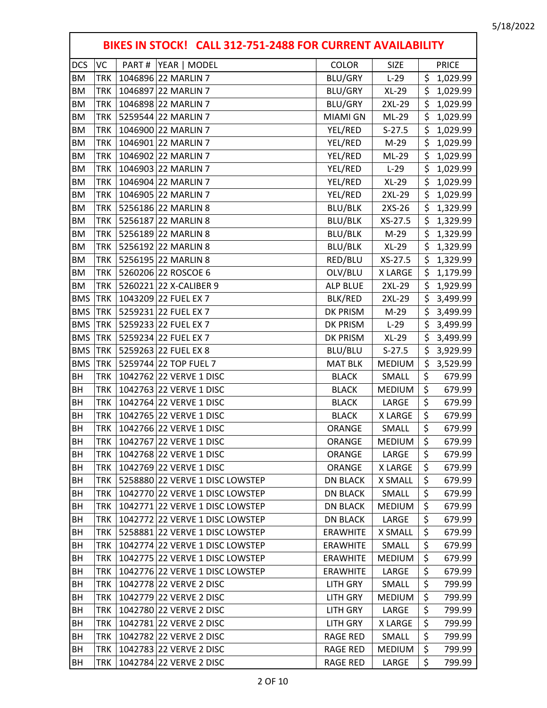|            | BIKES IN STOCK! CALL 312-751-2488 FOR CURRENT AVAILABILITY |                                 |                 |               |                                 |              |  |  |  |
|------------|------------------------------------------------------------|---------------------------------|-----------------|---------------|---------------------------------|--------------|--|--|--|
| <b>DCS</b> | VC                                                         | PART#<br>YEAR   MODEL           | <b>COLOR</b>    | <b>SIZE</b>   |                                 | <b>PRICE</b> |  |  |  |
| <b>BM</b>  | <b>TRK</b>                                                 | 1046896 22 MARLIN 7             | BLU/GRY         | $L-29$        | \$                              | 1,029.99     |  |  |  |
| <b>BM</b>  | <b>TRK</b>                                                 | 1046897 22 MARLIN 7             | BLU/GRY         | $XL-29$       | \$                              | 1,029.99     |  |  |  |
| <b>BM</b>  | TRK                                                        | 1046898 22 MARLIN 7             | <b>BLU/GRY</b>  | 2XL-29        | \$                              | 1,029.99     |  |  |  |
| <b>BM</b>  | <b>TRK</b>                                                 | 5259544 22 MARLIN 7             | MIAMI GN        | ML-29         | \$                              | 1,029.99     |  |  |  |
| <b>BM</b>  | <b>TRK</b>                                                 | 1046900 22 MARLIN 7             | YEL/RED         | $S-27.5$      | \$                              | 1,029.99     |  |  |  |
| ΒM         | <b>TRK</b>                                                 | 1046901 22 MARLIN 7             | YEL/RED         | $M-29$        | \$                              | 1,029.99     |  |  |  |
| <b>BM</b>  | <b>TRK</b>                                                 | 1046902 22 MARLIN 7             | YEL/RED         | ML-29         | \$                              | 1,029.99     |  |  |  |
| <b>BM</b>  | <b>TRK</b>                                                 | 1046903 22 MARLIN 7             | YEL/RED         | $L-29$        | \$                              | 1,029.99     |  |  |  |
| BM         | <b>TRK</b>                                                 | 1046904 22 MARLIN 7             | YEL/RED         | <b>XL-29</b>  | \$                              | 1,029.99     |  |  |  |
| ΒM         | <b>TRK</b>                                                 | 1046905 22 MARLIN 7             | YEL/RED         | 2XL-29        | \$                              | 1,029.99     |  |  |  |
| <b>BM</b>  | <b>TRK</b>                                                 | 5256186 22 MARLIN 8             | <b>BLU/BLK</b>  | 2XS-26        | \$                              | 1,329.99     |  |  |  |
| <b>BM</b>  | <b>TRK</b>                                                 | 5256187 22 MARLIN 8             | <b>BLU/BLK</b>  | XS-27.5       | \$                              | 1,329.99     |  |  |  |
| <b>BM</b>  | <b>TRK</b>                                                 | 5256189 22 MARLIN 8             | <b>BLU/BLK</b>  | $M-29$        | \$                              | 1,329.99     |  |  |  |
| <b>BM</b>  | <b>TRK</b>                                                 | 5256192 22 MARLIN 8             | <b>BLU/BLK</b>  | $XL-29$       | \$                              | 1,329.99     |  |  |  |
| ΒM         | <b>TRK</b>                                                 | 5256195 22 MARLIN 8             | RED/BLU         | XS-27.5       | \$                              | 1,329.99     |  |  |  |
| <b>BM</b>  | <b>TRK</b>                                                 | 5260206 22 ROSCOE 6             | OLV/BLU         | X LARGE       | \$                              | 1,179.99     |  |  |  |
| <b>BM</b>  | <b>TRK</b>                                                 | 5260221 22 X-CALIBER 9          | <b>ALP BLUE</b> | 2XL-29        | \$                              | 1,929.99     |  |  |  |
| <b>BMS</b> | <b>TRK</b>                                                 | 1043209 22 FUEL EX 7            | BLK/RED         | 2XL-29        | \$                              | 3,499.99     |  |  |  |
| <b>BMS</b> | <b>TRK</b>                                                 | 5259231 22 FUEL EX 7            | DK PRISM        | $M-29$        | \$                              | 3,499.99     |  |  |  |
| <b>BMS</b> | <b>TRK</b>                                                 | 5259233 22 FUEL EX 7            | DK PRISM        | $L-29$        | \$                              | 3,499.99     |  |  |  |
| <b>BMS</b> | <b>TRK</b>                                                 | 5259234 22 FUEL EX 7            | DK PRISM        | $XL-29$       | \$                              | 3,499.99     |  |  |  |
| <b>BMS</b> | <b>TRK</b>                                                 | 5259263 22 FUEL EX 8            | BLU/BLU         | $S-27.5$      | \$                              | 3,929.99     |  |  |  |
| <b>BMS</b> | <b>TRK</b>                                                 | 5259744 22 TOP FUEL 7           | <b>MAT BLK</b>  | <b>MEDIUM</b> | \$                              | 3,529.99     |  |  |  |
| BH         | <b>TRK</b>                                                 | 1042762 22 VERVE 1 DISC         | <b>BLACK</b>    | SMALL         | \$                              | 679.99       |  |  |  |
| BH         | <b>TRK</b>                                                 | 1042763 22 VERVE 1 DISC         | <b>BLACK</b>    | <b>MEDIUM</b> | \$                              | 679.99       |  |  |  |
| BH         | <b>TRK</b>                                                 | 1042764 22 VERVE 1 DISC         | <b>BLACK</b>    | LARGE         | $\overline{\boldsymbol{\zeta}}$ | 679.99       |  |  |  |
| BH         | <b>TRK</b>                                                 | 1042765 22 VERVE 1 DISC         | <b>BLACK</b>    | X LARGE       | \$                              | 679.99       |  |  |  |
| BH         | TRK                                                        | 1042766 22 VERVE 1 DISC         | ORANGE          | SMALL         | \$                              | 679.99       |  |  |  |
| BH         | TRK                                                        | 1042767 22 VERVE 1 DISC         | ORANGE          | <b>MEDIUM</b> | Ş                               | 679.99       |  |  |  |
| BH         | TRK                                                        | 1042768 22 VERVE 1 DISC         | <b>ORANGE</b>   | LARGE         | \$                              | 679.99       |  |  |  |
| BH         | TRK                                                        | 1042769 22 VERVE 1 DISC         | ORANGE          | X LARGE       | \$                              | 679.99       |  |  |  |
| BH         | TRK                                                        | 5258880 22 VERVE 1 DISC LOWSTEP | <b>DN BLACK</b> | X SMALL       | \$                              | 679.99       |  |  |  |
| BH         | TRK                                                        | 1042770 22 VERVE 1 DISC LOWSTEP | <b>DN BLACK</b> | SMALL         | \$                              | 679.99       |  |  |  |
| BH         | TRK                                                        | 1042771 22 VERVE 1 DISC LOWSTEP | <b>DN BLACK</b> | <b>MEDIUM</b> | \$                              | 679.99       |  |  |  |
| BH         | TRK                                                        | 1042772 22 VERVE 1 DISC LOWSTEP | <b>DN BLACK</b> | LARGE         | \$                              | 679.99       |  |  |  |
| BH         | TRK                                                        | 5258881 22 VERVE 1 DISC LOWSTEP | <b>ERAWHITE</b> | X SMALL       | \$                              | 679.99       |  |  |  |
| BH         | TRK                                                        | 1042774 22 VERVE 1 DISC LOWSTEP | <b>ERAWHITE</b> | SMALL         | \$                              | 679.99       |  |  |  |
| BH         | TRK                                                        | 1042775 22 VERVE 1 DISC LOWSTEP | <b>ERAWHITE</b> | <b>MEDIUM</b> | \$                              | 679.99       |  |  |  |
| BH         | TRK                                                        | 1042776 22 VERVE 1 DISC LOWSTEP | <b>ERAWHITE</b> | LARGE         | \$                              | 679.99       |  |  |  |
| BH         | TRK                                                        | 1042778 22 VERVE 2 DISC         | <b>LITH GRY</b> | SMALL         | \$                              | 799.99       |  |  |  |
| BH         | TRK                                                        | 1042779 22 VERVE 2 DISC         | <b>LITH GRY</b> | <b>MEDIUM</b> | \$                              | 799.99       |  |  |  |
| BH         | TRK                                                        | 1042780 22 VERVE 2 DISC         | LITH GRY        | LARGE         | \$                              | 799.99       |  |  |  |
| BH         | TRK                                                        | 1042781 22 VERVE 2 DISC         | <b>LITH GRY</b> | X LARGE       | \$                              | 799.99       |  |  |  |
| BH         | TRK                                                        | 1042782 22 VERVE 2 DISC         | <b>RAGE RED</b> | SMALL         | \$                              | 799.99       |  |  |  |
| BH         | TRK                                                        | 1042783 22 VERVE 2 DISC         | <b>RAGE RED</b> | <b>MEDIUM</b> | \$                              | 799.99       |  |  |  |
| BH         | TRK                                                        | 1042784 22 VERVE 2 DISC         | <b>RAGE RED</b> | LARGE         | \$                              | 799.99       |  |  |  |

г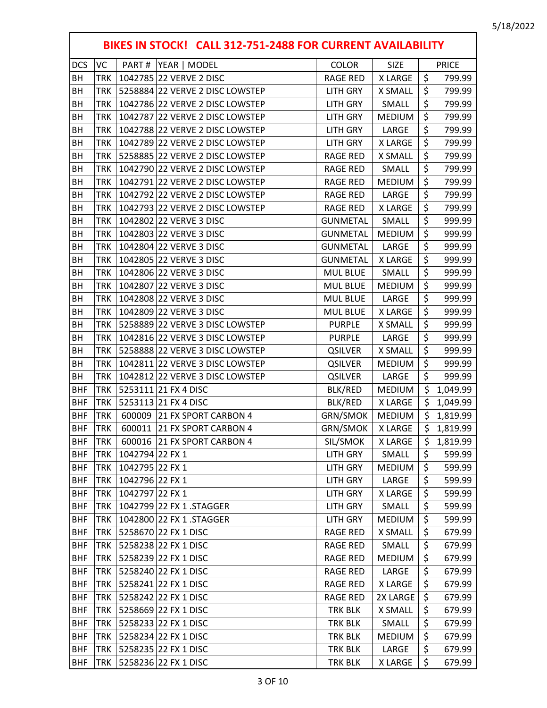٦

|            | BIKES IN STOCK! CALL 312-751-2488 FOR CURRENT AVAILABILITY |                                 |  |                 |               |                    |              |  |  |
|------------|------------------------------------------------------------|---------------------------------|--|-----------------|---------------|--------------------|--------------|--|--|
| <b>DCS</b> | VC                                                         | PART#<br>YEAR   MODEL           |  | <b>COLOR</b>    | <b>SIZE</b>   |                    | <b>PRICE</b> |  |  |
| BH         | TRK                                                        | 1042785 22 VERVE 2 DISC         |  | <b>RAGE RED</b> | X LARGE       | \$                 | 799.99       |  |  |
| BН         | TRK                                                        | 5258884 22 VERVE 2 DISC LOWSTEP |  | <b>LITH GRY</b> | X SMALL       | \$                 | 799.99       |  |  |
| <b>BH</b>  | TRK                                                        | 1042786 22 VERVE 2 DISC LOWSTEP |  | <b>LITH GRY</b> | SMALL         | \$                 | 799.99       |  |  |
| BH         | TRK                                                        | 1042787 22 VERVE 2 DISC LOWSTEP |  | <b>LITH GRY</b> | <b>MEDIUM</b> | \$                 | 799.99       |  |  |
| BH         | TRK                                                        | 1042788 22 VERVE 2 DISC LOWSTEP |  | <b>LITH GRY</b> | LARGE         | \$                 | 799.99       |  |  |
| BH         | <b>TRK</b>                                                 | 1042789 22 VERVE 2 DISC LOWSTEP |  | <b>LITH GRY</b> | <b>XLARGE</b> | \$                 | 799.99       |  |  |
| BH         | TRK                                                        | 5258885 22 VERVE 2 DISC LOWSTEP |  | <b>RAGE RED</b> | X SMALL       | \$                 | 799.99       |  |  |
| BH         | TRK                                                        | 1042790 22 VERVE 2 DISC LOWSTEP |  | <b>RAGE RED</b> | SMALL         | \$                 | 799.99       |  |  |
| BH         | TRK                                                        | 1042791 22 VERVE 2 DISC LOWSTEP |  | <b>RAGE RED</b> | <b>MEDIUM</b> | \$                 | 799.99       |  |  |
| BH         | TRK                                                        | 1042792 22 VERVE 2 DISC LOWSTEP |  | <b>RAGE RED</b> | LARGE         | \$                 | 799.99       |  |  |
| BH         | TRK                                                        | 1042793 22 VERVE 2 DISC LOWSTEP |  | <b>RAGE RED</b> | X LARGE       | \$                 | 799.99       |  |  |
| BH         | TRK                                                        | 1042802 22 VERVE 3 DISC         |  | <b>GUNMETAL</b> | SMALL         | \$                 | 999.99       |  |  |
| BH         | TRK                                                        | 1042803 22 VERVE 3 DISC         |  | <b>GUNMETAL</b> | <b>MEDIUM</b> | \$                 | 999.99       |  |  |
| BH         | TRK                                                        | 1042804 22 VERVE 3 DISC         |  | <b>GUNMETAL</b> | LARGE         | \$                 | 999.99       |  |  |
| BH         | <b>TRK</b>                                                 | 1042805 22 VERVE 3 DISC         |  | <b>GUNMETAL</b> | X LARGE       | \$                 | 999.99       |  |  |
| BH         | TRK                                                        | 1042806 22 VERVE 3 DISC         |  | <b>MUL BLUE</b> | SMALL         | \$                 | 999.99       |  |  |
| BH         | TRK                                                        | 1042807 22 VERVE 3 DISC         |  | <b>MUL BLUE</b> | <b>MEDIUM</b> | \$                 | 999.99       |  |  |
| BH         | TRK                                                        | 1042808 22 VERVE 3 DISC         |  | <b>MUL BLUE</b> | LARGE         | \$                 | 999.99       |  |  |
| BH         | TRK                                                        | 1042809 22 VERVE 3 DISC         |  | <b>MUL BLUE</b> | <b>XLARGE</b> | \$                 | 999.99       |  |  |
| BH         | <b>TRK</b>                                                 | 5258889 22 VERVE 3 DISC LOWSTEP |  | <b>PURPLE</b>   | X SMALL       | \$                 | 999.99       |  |  |
| BH         | TRK                                                        | 1042816 22 VERVE 3 DISC LOWSTEP |  | <b>PURPLE</b>   | LARGE         | \$                 | 999.99       |  |  |
| BH         | <b>TRK</b>                                                 | 5258888 22 VERVE 3 DISC LOWSTEP |  | <b>QSILVER</b>  | X SMALL       | \$                 | 999.99       |  |  |
| BH         | TRK                                                        | 1042811 22 VERVE 3 DISC LOWSTEP |  | <b>QSILVER</b>  | <b>MEDIUM</b> | \$                 | 999.99       |  |  |
| BH         | TRK                                                        | 1042812 22 VERVE 3 DISC LOWSTEP |  | <b>QSILVER</b>  | LARGE         | \$                 | 999.99       |  |  |
| <b>BHF</b> | <b>TRK</b>                                                 | 5253111 21 FX 4 DISC            |  | BLK/RED         | <b>MEDIUM</b> | \$                 | 1,049.99     |  |  |
| <b>BHF</b> | TRK                                                        | 5253113 21 FX 4 DISC            |  | <b>BLK/RED</b>  | X LARGE       | \$                 | 1,049.99     |  |  |
| <b>BHF</b> | <b>TRK</b>                                                 | 600009<br>21 FX SPORT CARBON 4  |  | GRN/SMOK        | <b>MEDIUM</b> | \$                 | 1,819.99     |  |  |
| <b>BHF</b> | <b>TRK</b>                                                 | 21 FX SPORT CARBON 4<br>600011  |  | GRN/SMOK        | X LARGE       | $\mathsf{\dot{S}}$ | 1,819.99     |  |  |
| <b>BHF</b> | <b>TRK</b>                                                 | 600016 21 FX SPORT CARBON 4     |  | SIL/SMOK        | X LARGE       | \$                 | 1,819.99     |  |  |
| <b>BHF</b> | TRK                                                        | 1042794 22 FX 1                 |  | <b>LITH GRY</b> | SMALL         | \$                 | 599.99       |  |  |
| <b>BHF</b> | TRK                                                        | 1042795 22 FX 1                 |  | <b>LITH GRY</b> | <b>MEDIUM</b> | \$                 | 599.99       |  |  |
| <b>BHF</b> | TRK                                                        | 1042796 22 FX 1                 |  | <b>LITH GRY</b> | LARGE         | \$                 | 599.99       |  |  |
| <b>BHF</b> | TRK                                                        | 1042797 22 FX 1                 |  | <b>LITH GRY</b> | X LARGE       | \$                 | 599.99       |  |  |
| <b>BHF</b> | TRK                                                        | 1042799 22 FX 1 .STAGGER        |  | <b>LITH GRY</b> | SMALL         | \$                 | 599.99       |  |  |
| <b>BHF</b> | TRK                                                        | 1042800 22 FX 1 .STAGGER        |  | <b>LITH GRY</b> | <b>MEDIUM</b> | \$                 | 599.99       |  |  |
| <b>BHF</b> | TRK                                                        | 5258670 22 FX 1 DISC            |  | <b>RAGE RED</b> | X SMALL       | \$                 | 679.99       |  |  |
| <b>BHF</b> | TRK                                                        | 5258238 22 FX 1 DISC            |  | <b>RAGE RED</b> | SMALL         | \$                 | 679.99       |  |  |
| <b>BHF</b> | TRK                                                        | 5258239 22 FX 1 DISC            |  | <b>RAGE RED</b> | <b>MEDIUM</b> | \$                 | 679.99       |  |  |
| <b>BHF</b> | TRK                                                        | 5258240 22 FX 1 DISC            |  | <b>RAGE RED</b> | LARGE         | \$                 | 679.99       |  |  |
| <b>BHF</b> | TRK                                                        | 5258241 22 FX 1 DISC            |  | <b>RAGE RED</b> | X LARGE       | \$                 | 679.99       |  |  |
| <b>BHF</b> | TRK                                                        | 5258242 22 FX 1 DISC            |  | <b>RAGE RED</b> | 2X LARGE      | \$                 | 679.99       |  |  |
| <b>BHF</b> | TRK                                                        | 5258669 22 FX 1 DISC            |  | TRK BLK         | X SMALL       | \$                 | 679.99       |  |  |
| <b>BHF</b> | TRK                                                        | 5258233 22 FX 1 DISC            |  | TRK BLK         | SMALL         | \$                 | 679.99       |  |  |
| <b>BHF</b> | <b>TRK</b>                                                 | 5258234 22 FX 1 DISC            |  | TRK BLK         | <b>MEDIUM</b> | \$                 | 679.99       |  |  |
| <b>BHF</b> | TRK                                                        | 5258235 22 FX 1 DISC            |  | <b>TRK BLK</b>  | LARGE         | \$                 | 679.99       |  |  |
| <b>BHF</b> |                                                            | TRK   5258236 22 FX 1 DISC      |  | TRK BLK         | X LARGE       | \$                 | 679.99       |  |  |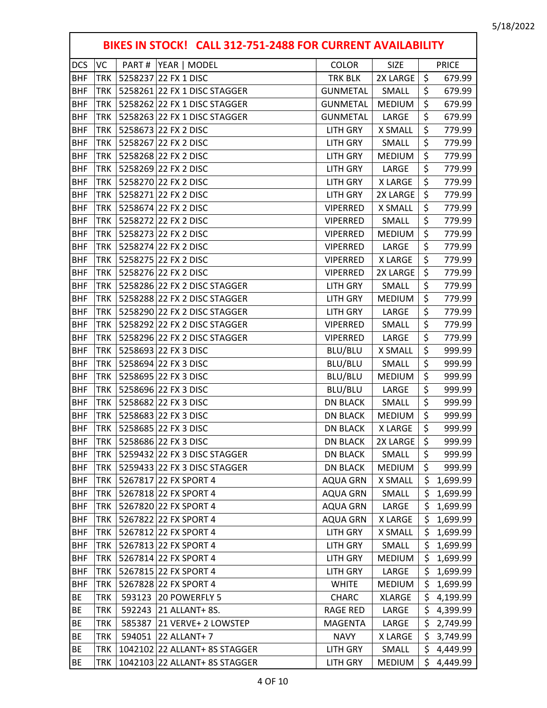|            | BIKES IN STOCK! CALL 312-751-2488 FOR CURRENT AVAILABILITY |  |                               |                 |                |                    |              |  |  |
|------------|------------------------------------------------------------|--|-------------------------------|-----------------|----------------|--------------------|--------------|--|--|
| <b>DCS</b> | VC                                                         |  | PART #  YEAR   MODEL          | <b>COLOR</b>    | <b>SIZE</b>    |                    | <b>PRICE</b> |  |  |
| <b>BHF</b> | <b>TRK</b>                                                 |  | 5258237 22 FX 1 DISC          | TRK BLK         | 2X LARGE       | $\zeta$            | 679.99       |  |  |
| <b>BHF</b> | <b>TRK</b>                                                 |  | 5258261 22 FX 1 DISC STAGGER  | <b>GUNMETAL</b> | SMALL          | \$                 | 679.99       |  |  |
| <b>BHF</b> | <b>TRK</b>                                                 |  | 5258262 22 FX 1 DISC STAGGER  | <b>GUNMETAL</b> | <b>MEDIUM</b>  | \$                 | 679.99       |  |  |
| <b>BHF</b> | <b>TRK</b>                                                 |  | 5258263 22 FX 1 DISC STAGGER  | <b>GUNMETAL</b> | LARGE          | \$                 | 679.99       |  |  |
| <b>BHF</b> | <b>TRK</b>                                                 |  | 5258673 22 FX 2 DISC          | <b>LITH GRY</b> | X SMALL        | \$                 | 779.99       |  |  |
| <b>BHF</b> | <b>TRK</b>                                                 |  | 5258267 22 FX 2 DISC          | <b>LITH GRY</b> | SMALL          | \$                 | 779.99       |  |  |
| <b>BHF</b> | <b>TRK</b>                                                 |  | 5258268 22 FX 2 DISC          | <b>LITH GRY</b> | <b>MEDIUM</b>  | \$                 | 779.99       |  |  |
| <b>BHF</b> | <b>TRK</b>                                                 |  | 5258269 22 FX 2 DISC          | <b>LITH GRY</b> | LARGE          | \$                 | 779.99       |  |  |
| <b>BHF</b> | <b>TRK</b>                                                 |  | 5258270 22 FX 2 DISC          | <b>LITH GRY</b> | <b>XLARGE</b>  | \$                 | 779.99       |  |  |
| <b>BHF</b> | <b>TRK</b>                                                 |  | 5258271 22 FX 2 DISC          | <b>LITH GRY</b> | 2X LARGE       | \$                 | 779.99       |  |  |
| <b>BHF</b> | <b>TRK</b>                                                 |  | 5258674 22 FX 2 DISC          | <b>VIPERRED</b> | X SMALL        | \$                 | 779.99       |  |  |
| <b>BHF</b> | <b>TRK</b>                                                 |  | 5258272 22 FX 2 DISC          | <b>VIPERRED</b> | SMALL          | \$                 | 779.99       |  |  |
| <b>BHF</b> | <b>TRK</b>                                                 |  | 5258273 22 FX 2 DISC          | <b>VIPERRED</b> | <b>MEDIUM</b>  | \$                 | 779.99       |  |  |
| <b>BHF</b> | <b>TRK</b>                                                 |  | 5258274 22 FX 2 DISC          | <b>VIPERRED</b> | LARGE          | \$                 | 779.99       |  |  |
| <b>BHF</b> | <b>TRK</b>                                                 |  | 5258275 22 FX 2 DISC          | <b>VIPERRED</b> | X LARGE        | \$                 | 779.99       |  |  |
| <b>BHF</b> | <b>TRK</b>                                                 |  | 5258276 22 FX 2 DISC          | <b>VIPERRED</b> | 2X LARGE       | \$                 | 779.99       |  |  |
| <b>BHF</b> | <b>TRK</b>                                                 |  | 5258286 22 FX 2 DISC STAGGER  | <b>LITH GRY</b> | SMALL          | \$                 | 779.99       |  |  |
| <b>BHF</b> | <b>TRK</b>                                                 |  | 5258288 22 FX 2 DISC STAGGER  | <b>LITH GRY</b> | <b>MEDIUM</b>  | \$                 | 779.99       |  |  |
| <b>BHF</b> | <b>TRK</b>                                                 |  | 5258290 22 FX 2 DISC STAGGER  | <b>LITH GRY</b> | LARGE          | \$                 | 779.99       |  |  |
| <b>BHF</b> | <b>TRK</b>                                                 |  | 5258292 22 FX 2 DISC STAGGER  | <b>VIPERRED</b> | SMALL          | \$                 | 779.99       |  |  |
| <b>BHF</b> | <b>TRK</b>                                                 |  | 5258296 22 FX 2 DISC STAGGER  | <b>VIPERRED</b> | LARGE          | \$                 | 779.99       |  |  |
| <b>BHF</b> | <b>TRK</b>                                                 |  | 5258693 22 FX 3 DISC          | BLU/BLU         | X SMALL        | \$                 | 999.99       |  |  |
| <b>BHF</b> | <b>TRK</b>                                                 |  | 5258694 22 FX 3 DISC          | BLU/BLU         | SMALL          | \$                 | 999.99       |  |  |
| <b>BHF</b> | <b>TRK</b>                                                 |  | 5258695 22 FX 3 DISC          | BLU/BLU         | <b>MEDIUM</b>  | \$                 | 999.99       |  |  |
| <b>BHF</b> | <b>TRK</b>                                                 |  | 5258696 22 FX 3 DISC          | BLU/BLU         | LARGE          | $\overline{\xi}$   | 999.99       |  |  |
| <b>BHF</b> | <b>TRK</b>                                                 |  | 5258682 22 FX 3 DISC          | <b>DN BLACK</b> | SMALL          | \$                 | 999.99       |  |  |
| <b>BHF</b> | <b>TRK</b>                                                 |  | 5258683 22 FX 3 DISC          | <b>DN BLACK</b> | <b>MEDIUM</b>  | $\zeta$            | 999.99       |  |  |
| <b>BHF</b> | <b>TRK</b>                                                 |  | 5258685 22 FX 3 DISC          | <b>DN BLACK</b> | <b>X LARGE</b> | $\mathsf{\dot{S}}$ | 999.99       |  |  |
| <b>BHF</b> | <b>TRK</b>                                                 |  | 5258686 22 FX 3 DISC          | <b>DN BLACK</b> | 2X LARGE       | \$                 | 999.99       |  |  |
| <b>BHF</b> | <b>TRK</b>                                                 |  | 5259432 22 FX 3 DISC STAGGER  | <b>DN BLACK</b> | SMALL          | \$                 | 999.99       |  |  |
| <b>BHF</b> | <b>TRK</b>                                                 |  | 5259433 22 FX 3 DISC STAGGER  | <b>DN BLACK</b> | <b>MEDIUM</b>  | \$                 | 999.99       |  |  |
| <b>BHF</b> | <b>TRK</b>                                                 |  | 5267817 22 FX SPORT 4         | <b>AQUA GRN</b> | X SMALL        | \$                 | 1,699.99     |  |  |
| <b>BHF</b> | TRK                                                        |  | 5267818 22 FX SPORT 4         | <b>AQUA GRN</b> | SMALL          | \$                 | 1,699.99     |  |  |
| <b>BHF</b> | <b>TRK</b>                                                 |  | 5267820 22 FX SPORT 4         | <b>AQUA GRN</b> | LARGE          | \$                 | 1,699.99     |  |  |
| <b>BHF</b> | <b>TRK</b>                                                 |  | 5267822 22 FX SPORT 4         | <b>AQUA GRN</b> | X LARGE        | \$                 | 1,699.99     |  |  |
| <b>BHF</b> | <b>TRK</b>                                                 |  | 5267812 22 FX SPORT 4         | <b>LITH GRY</b> | X SMALL        | \$                 | 1,699.99     |  |  |
| <b>BHF</b> | <b>TRK</b>                                                 |  | 5267813 22 FX SPORT 4         | LITH GRY        | SMALL          | \$                 | 1,699.99     |  |  |
| <b>BHF</b> | TRK                                                        |  | 5267814 22 FX SPORT 4         | <b>LITH GRY</b> | <b>MEDIUM</b>  | \$.                | 1,699.99     |  |  |
| <b>BHF</b> | <b>TRK</b>                                                 |  | 5267815 22 FX SPORT 4         | <b>LITH GRY</b> | LARGE          | \$                 | 1,699.99     |  |  |
| <b>BHF</b> | <b>TRK</b>                                                 |  | 5267828 22 FX SPORT 4         | <b>WHITE</b>    | <b>MEDIUM</b>  | \$                 | 1,699.99     |  |  |
| <b>BE</b>  | <b>TRK</b>                                                 |  | 593123 20 POWERFLY 5          | CHARC           | <b>XLARGE</b>  | \$                 | 4,199.99     |  |  |
| ВE         | <b>TRK</b>                                                 |  | 592243 21 ALLANT+ 8S.         | <b>RAGE RED</b> | LARGE          | \$                 | 4,399.99     |  |  |
| BE         | <b>TRK</b>                                                 |  | 585387 21 VERVE+ 2 LOWSTEP    | <b>MAGENTA</b>  | LARGE          | \$.                | 2,749.99     |  |  |
| BE         | <b>TRK</b>                                                 |  | 594051 22 ALLANT+ 7           | <b>NAVY</b>     | X LARGE        | \$                 | 3,749.99     |  |  |
| <b>BE</b>  | <b>TRK</b>                                                 |  | 1042102 22 ALLANT+ 8S STAGGER | <b>LITH GRY</b> | SMALL          | \$                 | 4,449.99     |  |  |
| BE         | <b>TRK</b>                                                 |  | 1042103 22 ALLANT+ 8S STAGGER | <b>LITH GRY</b> | <b>MEDIUM</b>  | \$                 | 4,449.99     |  |  |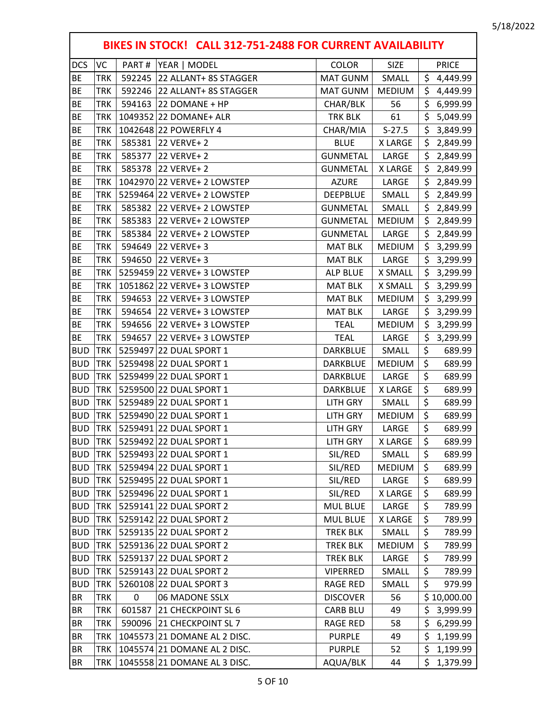|            | BIKES IN STOCK! CALL 312-751-2488 FOR CURRENT AVAILABILITY |        |                              |                 |                |                  |              |  |  |
|------------|------------------------------------------------------------|--------|------------------------------|-----------------|----------------|------------------|--------------|--|--|
| <b>DCS</b> | <b>VC</b>                                                  | PART#  | YEAR   MODEL                 | <b>COLOR</b>    | <b>SIZE</b>    |                  | <b>PRICE</b> |  |  |
| <b>BE</b>  | <b>TRK</b>                                                 |        | 592245 22 ALLANT+ 8S STAGGER | MAT GUNM        | SMALL          | \$               | 4,449.99     |  |  |
| <b>BE</b>  | <b>TRK</b>                                                 |        | 592246 22 ALLANT+ 8S STAGGER | MAT GUNM        | <b>MEDIUM</b>  | \$               | 4,449.99     |  |  |
| <b>BE</b>  | <b>TRK</b>                                                 |        | 594163 22 DOMANE + HP        | CHAR/BLK        | 56             | \$               | 6,999.99     |  |  |
| <b>BE</b>  | <b>TRK</b>                                                 |        | 1049352 22 DOMANE+ ALR       | TRK BLK         | 61             | \$               | 5,049.99     |  |  |
| BE         | <b>TRK</b>                                                 |        | 1042648 22 POWERFLY 4        | CHAR/MIA        | $S-27.5$       | \$               | 3,849.99     |  |  |
| <b>BE</b>  | <b>TRK</b>                                                 |        | 585381 22 VERVE+ 2           | <b>BLUE</b>     | X LARGE        | \$               | 2,849.99     |  |  |
| <b>BE</b>  | <b>TRK</b>                                                 |        | 585377 22 VERVE+ 2           | <b>GUNMETAL</b> | LARGE          | \$               | 2,849.99     |  |  |
| <b>BE</b>  | <b>TRK</b>                                                 | 585378 | <b>22 VERVE+ 2</b>           | <b>GUNMETAL</b> | <b>X LARGE</b> | \$               | 2,849.99     |  |  |
| <b>BE</b>  | <b>TRK</b>                                                 |        | 1042970 22 VERVE+ 2 LOWSTEP  | <b>AZURE</b>    | LARGE          | \$               | 2,849.99     |  |  |
| <b>BE</b>  | <b>TRK</b>                                                 |        | 5259464 22 VERVE+ 2 LOWSTEP  | <b>DEEPBLUE</b> | SMALL          | \$               | 2,849.99     |  |  |
| <b>BE</b>  | <b>TRK</b>                                                 |        | 585382 22 VERVE+ 2 LOWSTEP   | <b>GUNMETAL</b> | SMALL          | \$               | 2,849.99     |  |  |
| BE         | <b>TRK</b>                                                 |        | 585383 22 VERVE+ 2 LOWSTEP   | <b>GUNMETAL</b> | MEDIUM         | \$               | 2,849.99     |  |  |
| <b>BE</b>  | <b>TRK</b>                                                 |        | 585384 22 VERVE+ 2 LOWSTEP   | <b>GUNMETAL</b> | LARGE          | \$               | 2,849.99     |  |  |
| <b>BE</b>  | <b>TRK</b>                                                 |        | 594649 22 VERVE+ 3           | <b>MAT BLK</b>  | <b>MEDIUM</b>  | \$               | 3,299.99     |  |  |
| <b>BE</b>  | <b>TRK</b>                                                 |        | 594650 22 VERVE+ 3           | <b>MAT BLK</b>  | LARGE          | \$               | 3,299.99     |  |  |
| <b>BE</b>  | <b>TRK</b>                                                 |        | 5259459 22 VERVE+ 3 LOWSTEP  | <b>ALP BLUE</b> | <b>X SMALL</b> | \$               | 3,299.99     |  |  |
| <b>BE</b>  | <b>TRK</b>                                                 |        | 1051862 22 VERVE+ 3 LOWSTEP  | <b>MAT BLK</b>  | X SMALL        | \$               | 3,299.99     |  |  |
| <b>BE</b>  | <b>TRK</b>                                                 |        | 594653 22 VERVE+ 3 LOWSTEP   | <b>MAT BLK</b>  | <b>MEDIUM</b>  | \$               | 3,299.99     |  |  |
| <b>BE</b>  | <b>TRK</b>                                                 |        | 594654 22 VERVE+ 3 LOWSTEP   | <b>MAT BLK</b>  | LARGE          | \$               | 3,299.99     |  |  |
| BE         | <b>TRK</b>                                                 |        | 594656 22 VERVE+ 3 LOWSTEP   | <b>TEAL</b>     | <b>MEDIUM</b>  | \$               | 3,299.99     |  |  |
| <b>BE</b>  | <b>TRK</b>                                                 |        | 594657 22 VERVE+ 3 LOWSTEP   | <b>TEAL</b>     | LARGE          | \$               | 3,299.99     |  |  |
| <b>BUD</b> | <b>TRK</b>                                                 |        | 5259497 22 DUAL SPORT 1      | DARKBLUE        | SMALL          | \$               | 689.99       |  |  |
| <b>BUD</b> | <b>TRK</b>                                                 |        | 5259498 22 DUAL SPORT 1      | DARKBLUE        | <b>MEDIUM</b>  | \$               | 689.99       |  |  |
| <b>BUD</b> | <b>TRK</b>                                                 |        | 5259499 22 DUAL SPORT 1      | DARKBLUE        | LARGE          | \$               | 689.99       |  |  |
| <b>BUD</b> | <b>TRK</b>                                                 |        | 5259500 22 DUAL SPORT 1      | DARKBLUE        | <b>XLARGE</b>  | \$               | 689.99       |  |  |
| <b>BUD</b> | <b>TRK</b>                                                 |        | 5259489 22 DUAL SPORT 1      | LITH GRY        | SMALL          | \$               | 689.99       |  |  |
| <b>BUD</b> | <b>TRK</b>                                                 |        | 5259490 22 DUAL SPORT 1      | <b>LITH GRY</b> | <b>MEDIUM</b>  | \$               | 689.99       |  |  |
| <b>BUD</b> | <b>TRK</b>                                                 |        | 5259491 22 DUAL SPORT 1      | LITH GRY        | LARGE          | $\overline{\xi}$ | 689.99       |  |  |
| <b>BUD</b> | TRK                                                        |        | 5259492 22 DUAL SPORT 1      | LITH GRY        | X LARGE        | $\overline{\xi}$ | 689.99       |  |  |
| <b>BUD</b> | <b>TRK</b>                                                 |        | 5259493 22 DUAL SPORT 1      | SIL/RED         | SMALL          | \$               | 689.99       |  |  |
| <b>BUD</b> | <b>TRK</b>                                                 |        | 5259494 22 DUAL SPORT 1      | SIL/RED         | MEDIUM         | \$               | 689.99       |  |  |
| <b>BUD</b> | <b>TRK</b>                                                 |        | 5259495 22 DUAL SPORT 1      | SIL/RED         | LARGE          | \$               | 689.99       |  |  |
| <b>BUD</b> | <b>TRK</b>                                                 |        | 5259496 22 DUAL SPORT 1      | SIL/RED         | X LARGE        | \$               | 689.99       |  |  |
| <b>BUD</b> | <b>TRK</b>                                                 |        | 5259141 22 DUAL SPORT 2      | <b>MUL BLUE</b> | LARGE          | \$               | 789.99       |  |  |
| <b>BUD</b> | <b>TRK</b>                                                 |        | 5259142 22 DUAL SPORT 2      | <b>MUL BLUE</b> | <b>XLARGE</b>  | \$               | 789.99       |  |  |
| <b>BUD</b> | <b>TRK</b>                                                 |        | 5259135 22 DUAL SPORT 2      | <b>TREK BLK</b> | SMALL          | \$               | 789.99       |  |  |
| <b>BUD</b> | <b>TRK</b>                                                 |        | 5259136 22 DUAL SPORT 2      | <b>TREK BLK</b> | <b>MEDIUM</b>  | \$               | 789.99       |  |  |
| <b>BUD</b> | <b>TRK</b>                                                 |        | 5259137 22 DUAL SPORT 2      | <b>TREK BLK</b> | LARGE          | \$               | 789.99       |  |  |
| <b>BUD</b> | <b>TRK</b>                                                 |        | 5259143 22 DUAL SPORT 2      | <b>VIPERRED</b> | SMALL          | \$               | 789.99       |  |  |
| <b>BUD</b> | <b>TRK</b>                                                 |        | 5260108 22 DUAL SPORT 3      | <b>RAGE RED</b> | SMALL          | \$               | 979.99       |  |  |
| BR         | <b>TRK</b>                                                 | 0      | 06 MADONE SSLX               | <b>DISCOVER</b> | 56             |                  | \$10,000.00  |  |  |
| ΒR         | <b>TRK</b>                                                 |        | 601587 21 CHECKPOINT SL 6    | <b>CARB BLU</b> | 49             | \$               | 3,999.99     |  |  |
| ΒR         | <b>TRK</b>                                                 |        | 590096 21 CHECKPOINT SL 7    | <b>RAGE RED</b> | 58             | \$               | 6,299.99     |  |  |
| <b>BR</b>  | <b>TRK</b>                                                 |        | 1045573 21 DOMANE AL 2 DISC. | <b>PURPLE</b>   | 49             | \$               | 1,199.99     |  |  |
| <b>BR</b>  | <b>TRK</b>                                                 |        | 1045574 21 DOMANE AL 2 DISC. | <b>PURPLE</b>   | 52             | \$               | 1,199.99     |  |  |
| BR         | <b>TRK</b>                                                 |        | 1045558 21 DOMANE AL 3 DISC. | AQUA/BLK        | 44             | \$               | 1,379.99     |  |  |
|            |                                                            |        |                              |                 |                |                  |              |  |  |

 $\Gamma$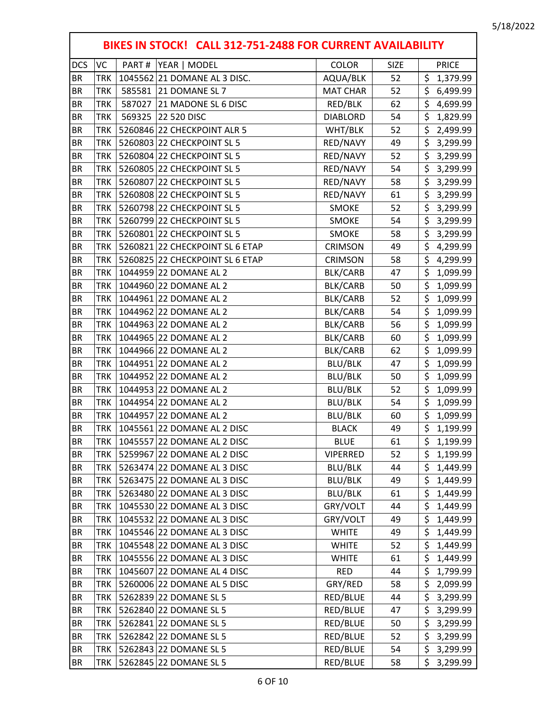|            |            | BIKES IN STOCK! CALL 312-751-2488 FOR CURRENT AVAILABILITY |                 |             |                                     |
|------------|------------|------------------------------------------------------------|-----------------|-------------|-------------------------------------|
| <b>DCS</b> | VC         | PART#<br>YEAR   MODEL                                      | <b>COLOR</b>    | <b>SIZE</b> | <b>PRICE</b>                        |
| <b>BR</b>  | TRK        | 1045562 21 DOMANE AL 3 DISC.                               | AQUA/BLK        | 52          | \$<br>1,379.99                      |
| <b>BR</b>  | <b>TRK</b> | 585581 21 DOMANE SL 7                                      | <b>MAT CHAR</b> | 52          | \$<br>6,499.99                      |
| <b>BR</b>  | <b>TRK</b> | 587027<br>21 MADONE SL 6 DISC                              | RED/BLK         | 62          | $\zeta$<br>4,699.99                 |
| <b>BR</b>  | <b>TRK</b> | 569325<br>22 520 DISC                                      | <b>DIABLORD</b> | 54          | \$<br>1,829.99                      |
| <b>BR</b>  | <b>TRK</b> | 5260846 22 CHECKPOINT ALR 5                                | WHT/BLK         | 52          | \$<br>2,499.99                      |
| <b>BR</b>  | <b>TRK</b> | 5260803 22 CHECKPOINT SL 5                                 | RED/NAVY        | 49          | $\overline{\xi}$<br>3,299.99        |
| <b>BR</b>  | <b>TRK</b> | 5260804 22 CHECKPOINT SL 5                                 | RED/NAVY        | 52          | \$<br>3,299.99                      |
| <b>BR</b>  | <b>TRK</b> | 5260805 22 CHECKPOINT SL 5                                 | RED/NAVY        | 54          | \$<br>3,299.99                      |
| <b>BR</b>  | <b>TRK</b> | 5260807 22 CHECKPOINT SL 5                                 | RED/NAVY        | 58          | \$<br>3,299.99                      |
| <b>BR</b>  | <b>TRK</b> | 5260808 22 CHECKPOINT SL 5                                 | RED/NAVY        | 61          | \$<br>3,299.99                      |
| <b>BR</b>  | <b>TRK</b> | 5260798 22 CHECKPOINT SL 5                                 | <b>SMOKE</b>    | 52          | \$<br>3,299.99                      |
| <b>BR</b>  | <b>TRK</b> | 5260799 22 CHECKPOINT SL 5                                 | <b>SMOKE</b>    | 54          | \$<br>3,299.99                      |
| <b>BR</b>  | <b>TRK</b> | 5260801 22 CHECKPOINT SL 5                                 | SMOKE           | 58          | \$<br>3,299.99                      |
| <b>BR</b>  | TRK        | 5260821 22 CHECKPOINT SL 6 ETAP                            | <b>CRIMSON</b>  | 49          | \$<br>4,299.99                      |
| <b>BR</b>  | <b>TRK</b> | 5260825 22 CHECKPOINT SL 6 ETAP                            | <b>CRIMSON</b>  | 58          | \$<br>4,299.99                      |
| <b>BR</b>  | <b>TRK</b> | 1044959 22 DOMANE AL 2                                     | BLK/CARB        | 47          | \$<br>1,099.99                      |
| <b>BR</b>  | <b>TRK</b> | 1044960 22 DOMANE AL 2                                     | BLK/CARB        | 50          | \$<br>1,099.99                      |
| <b>BR</b>  | <b>TRK</b> | 1044961 22 DOMANE AL 2                                     | BLK/CARB        | 52          | $\overline{\xi}$<br>1,099.99        |
| <b>BR</b>  | <b>TRK</b> | 1044962 22 DOMANE AL 2                                     | BLK/CARB        | 54          | \$<br>1,099.99                      |
| <b>BR</b>  | <b>TRK</b> | 1044963 22 DOMANE AL 2                                     | BLK/CARB        | 56          | \$<br>1,099.99                      |
| <b>BR</b>  | <b>TRK</b> | 1044965 22 DOMANE AL 2                                     | BLK/CARB        | 60          | \$<br>1,099.99                      |
| <b>BR</b>  | <b>TRK</b> | 1044966 22 DOMANE AL 2                                     | BLK/CARB        | 62          | \$<br>1,099.99                      |
| <b>BR</b>  | <b>TRK</b> | 1044951 22 DOMANE AL 2                                     | <b>BLU/BLK</b>  | 47          | \$<br>1,099.99                      |
| <b>BR</b>  | <b>TRK</b> | 1044952 22 DOMANE AL 2                                     | BLU/BLK         | 50          | \$<br>1,099.99                      |
| <b>BR</b>  | <b>TRK</b> | 1044953 22 DOMANE AL 2                                     | <b>BLU/BLK</b>  | 52          | $\overline{\xi}$<br>1,099.99        |
| <b>BR</b>  | TRK        | 1044954 22 DOMANE AL 2                                     | BLU/BLK         | 54          | \$<br>1,099.99                      |
| <b>BR</b>  | <b>TRK</b> | 1044957 22 DOMANE AL 2                                     | <b>BLU/BLK</b>  | 60          | \$<br>1,099.99                      |
| <b>BR</b>  | TRK        | 1045561 22 DOMANE AL 2 DISC                                | <b>BLACK</b>    | 49          | $\overline{\mathsf{S}}$<br>1,199.99 |
| <b>BR</b>  | TRK        | 1045557 22 DOMANE AL 2 DISC                                | <b>BLUE</b>     | 61          | \$<br>1,199.99                      |
| BR         | TRK        | 5259967 22 DOMANE AL 2 DISC                                | <b>VIPERRED</b> | 52          | \$<br>1,199.99                      |
| <b>BR</b>  | TRK        | 5263474 22 DOMANE AL 3 DISC                                | BLU/BLK         | 44          | \$<br>1,449.99                      |
| BR         | TRK        | 5263475 22 DOMANE AL 3 DISC                                | BLU/BLK         | 49          | \$<br>1,449.99                      |
| BR         | TRK        | 5263480 22 DOMANE AL 3 DISC                                | BLU/BLK         | 61          | \$<br>1,449.99                      |
| <b>BR</b>  | TRK        | 1045530 22 DOMANE AL 3 DISC                                | GRY/VOLT        | 44          | \$<br>1,449.99                      |
| BR         | TRK        | 1045532 22 DOMANE AL 3 DISC                                | GRY/VOLT        | 49          | \$<br>1,449.99                      |
| BR         | TRK        | 1045546 22 DOMANE AL 3 DISC                                | <b>WHITE</b>    | 49          | \$<br>1,449.99                      |
| <b>BR</b>  | TRK        | 1045548 22 DOMANE AL 3 DISC                                | <b>WHITE</b>    | 52          | \$<br>1,449.99                      |
| BR         | TRK        | 1045556 22 DOMANE AL 3 DISC                                | <b>WHITE</b>    | 61          | \$<br>1,449.99                      |
| <b>BR</b>  | TRK        | 1045607 22 DOMANE AL 4 DISC                                | <b>RED</b>      | 44          | \$<br>1,799.99                      |
| BR         | TRK        | 5260006 22 DOMANE AL 5 DISC                                | GRY/RED         | 58          | \$<br>2,099.99                      |
| <b>BR</b>  | TRK        | 5262839 22 DOMANE SL 5                                     | RED/BLUE        | 44          | \$<br>3,299.99                      |
| BR         | TRK        | 5262840 22 DOMANE SL 5                                     | RED/BLUE        | 47          | \$<br>3,299.99                      |
| BR         | TRK        | 5262841 22 DOMANE SL 5                                     | RED/BLUE        | 50          | \$<br>3,299.99                      |
| <b>BR</b>  | TRK        | 5262842 22 DOMANE SL 5                                     | RED/BLUE        | 52          | \$<br>3,299.99                      |
| BR         | TRK        | 5262843 22 DOMANE SL 5                                     | RED/BLUE        | 54          | \$<br>3,299.99                      |
| <b>BR</b>  | TRK        | 5262845 22 DOMANE SL 5                                     | RED/BLUE        | 58          | \$<br>3,299.99                      |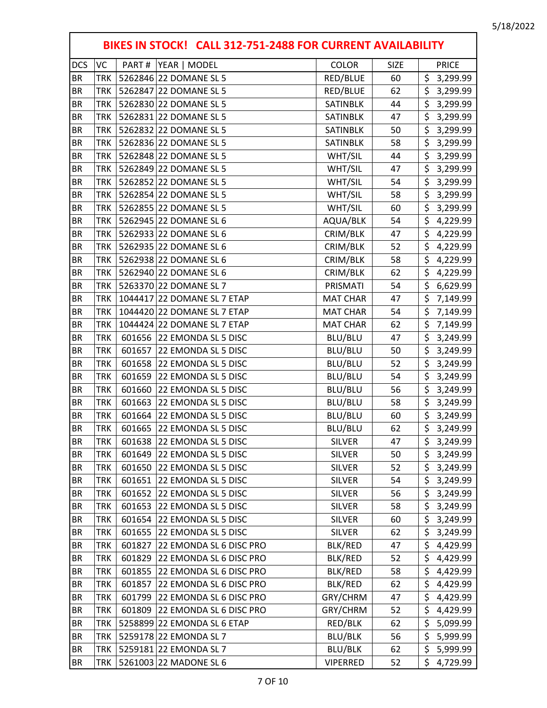٦

|            |            |        | BIKES IN STOCK! CALL 312-751-2488 FOR CURRENT AVAILABILITY |                 |             |                              |
|------------|------------|--------|------------------------------------------------------------|-----------------|-------------|------------------------------|
| <b>DCS</b> | VC         | PART#  | YEAR   MODEL                                               | <b>COLOR</b>    | <b>SIZE</b> | <b>PRICE</b>                 |
| <b>BR</b>  | TRK        |        | 5262846 22 DOMANE SL 5                                     | RED/BLUE        | 60          | \$<br>3,299.99               |
| <b>BR</b>  | <b>TRK</b> |        | 5262847 22 DOMANE SL 5                                     | RED/BLUE        | 62          | \$<br>3,299.99               |
| <b>BR</b>  | <b>TRK</b> |        | 5262830 22 DOMANE SL 5                                     | SATINBLK        | 44          | \$<br>3,299.99               |
| <b>BR</b>  | <b>TRK</b> |        | 5262831 22 DOMANE SL 5                                     | SATINBLK        | 47          | \$<br>3,299.99               |
| <b>BR</b>  | <b>TRK</b> |        | 5262832 22 DOMANE SL 5                                     | SATINBLK        | 50          | \$<br>3,299.99               |
| <b>BR</b>  | <b>TRK</b> |        | 5262836 22 DOMANE SL 5                                     | SATINBLK        | 58          | $\overline{\xi}$<br>3,299.99 |
| <b>BR</b>  | <b>TRK</b> |        | 5262848 22 DOMANE SL 5                                     | WHT/SIL         | 44          | \$<br>3,299.99               |
| <b>BR</b>  | <b>TRK</b> |        | 5262849 22 DOMANE SL 5                                     | WHT/SIL         | 47          | \$<br>3,299.99               |
| <b>BR</b>  | <b>TRK</b> |        | 5262852 22 DOMANE SL 5                                     | WHT/SIL         | 54          | \$<br>3,299.99               |
| <b>BR</b>  | <b>TRK</b> |        | 5262854 22 DOMANE SL 5                                     | WHT/SIL         | 58          | \$<br>3,299.99               |
| <b>BR</b>  | <b>TRK</b> |        | 5262855 22 DOMANE SL 5                                     | WHT/SIL         | 60          | \$<br>3,299.99               |
| <b>BR</b>  | <b>TRK</b> |        | 5262945 22 DOMANE SL 6                                     | AQUA/BLK        | 54          | \$<br>4,229.99               |
| <b>BR</b>  | <b>TRK</b> |        | 5262933 22 DOMANE SL 6                                     | CRIM/BLK        | 47          | \$<br>4,229.99               |
| <b>BR</b>  | <b>TRK</b> |        | 5262935 22 DOMANE SL 6                                     | CRIM/BLK        | 52          | \$<br>4,229.99               |
| <b>BR</b>  | <b>TRK</b> |        | 5262938 22 DOMANE SL 6                                     | CRIM/BLK        | 58          | \$<br>4,229.99               |
| <b>BR</b>  | <b>TRK</b> |        | 5262940 22 DOMANE SL 6                                     | CRIM/BLK        | 62          | \$<br>4,229.99               |
| <b>BR</b>  | <b>TRK</b> |        | 5263370 22 DOMANE SL 7                                     | PRISMATI        | 54          | \$<br>6,629.99               |
| <b>BR</b>  | <b>TRK</b> |        | 1044417 22 DOMANE SL 7 ETAP                                | <b>MAT CHAR</b> | 47          | \$<br>7,149.99               |
| <b>BR</b>  | <b>TRK</b> |        | 1044420 22 DOMANE SL 7 ETAP                                | <b>MAT CHAR</b> | 54          | \$<br>7,149.99               |
| <b>BR</b>  | <b>TRK</b> |        | 1044424 22 DOMANE SL 7 ETAP                                | <b>MAT CHAR</b> | 62          | \$<br>7,149.99               |
| <b>BR</b>  | <b>TRK</b> |        | 601656 22 EMONDA SL 5 DISC                                 | BLU/BLU         | 47          | \$<br>3,249.99               |
| <b>BR</b>  | <b>TRK</b> | 601657 | 22 EMONDA SL 5 DISC                                        | BLU/BLU         | 50          | \$<br>3,249.99               |
| <b>BR</b>  | <b>TRK</b> | 601658 | 22 EMONDA SL 5 DISC                                        | BLU/BLU         | 52          | \$<br>3,249.99               |
| <b>BR</b>  | <b>TRK</b> | 601659 | 22 EMONDA SL 5 DISC                                        | BLU/BLU         | 54          | \$<br>3,249.99               |
| <b>BR</b>  | <b>TRK</b> | 601660 | 22 EMONDA SL 5 DISC                                        | BLU/BLU         | 56          | \$<br>3,249.99               |
| <b>BR</b>  | TRK        | 601663 | 22 EMONDA SL 5 DISC                                        | BLU/BLU         | 58          | \$<br>3,249.99               |
| <b>BR</b>  | <b>TRK</b> | 601664 | 22 EMONDA SL 5 DISC                                        | BLU/BLU         | 60          | \$<br>3,249.99               |
| <b>BR</b>  | TRK        |        | 601665 22 EMONDA SL 5 DISC                                 | BLU/BLU         | 62          | \$<br>3,249.99               |
| BR         | TRK        |        | 601638 22 EMONDA SL 5 DISC                                 | <b>SILVER</b>   | 47          | \$.<br>3,249.99              |
| BR         | TRK        | 601649 | 22 EMONDA SL 5 DISC                                        | <b>SILVER</b>   | 50          | \$<br>3,249.99               |
| <b>BR</b>  | TRK        | 601650 | 22 EMONDA SL 5 DISC                                        | <b>SILVER</b>   | 52          | \$<br>3,249.99               |
| BR         | TRK        | 601651 | 22 EMONDA SL 5 DISC                                        | <b>SILVER</b>   | 54          | \$<br>3,249.99               |
| BR         | TRK        | 601652 | 22 EMONDA SL 5 DISC                                        | <b>SILVER</b>   | 56          | \$<br>3,249.99               |
| <b>BR</b>  | TRK        | 601653 | 22 EMONDA SL 5 DISC                                        | <b>SILVER</b>   | 58          | \$<br>3,249.99               |
| BR         | TRK        | 601654 | 22 EMONDA SL 5 DISC                                        | <b>SILVER</b>   | 60          | \$<br>3,249.99               |
| <b>BR</b>  | TRK        | 601655 | 22 EMONDA SL 5 DISC                                        | <b>SILVER</b>   | 62          | \$<br>3,249.99               |
| <b>BR</b>  | TRK        | 601827 | 22 EMONDA SL 6 DISC PRO                                    | BLK/RED         | 47          | \$<br>4,429.99               |
| BR         | TRK        | 601829 | 22 EMONDA SL 6 DISC PRO                                    | BLK/RED         | 52          | \$<br>4,429.99               |
| <b>BR</b>  | TRK        | 601855 | 22 EMONDA SL 6 DISC PRO                                    | BLK/RED         | 58          | \$<br>4,429.99               |
| BR         | TRK        | 601857 | 22 EMONDA SL 6 DISC PRO                                    | BLK/RED         | 62          | \$<br>4,429.99               |
| <b>BR</b>  | TRK        | 601799 | 22 EMONDA SL 6 DISC PRO                                    | GRY/CHRM        | 47          | \$<br>4,429.99               |
| BR         | TRK        | 601809 | 22 EMONDA SL 6 DISC PRO                                    | GRY/CHRM        | 52          | \$<br>4,429.99               |
| BR         | TRK        |        | 5258899 22 EMONDA SL 6 ETAP                                | RED/BLK         | 62          | \$<br>5,099.99               |
| <b>BR</b>  | TRK        |        | 5259178 22 EMONDA SL 7                                     | BLU/BLK         | 56          | \$<br>5,999.99               |
| BR         | TRK        |        | 5259181 22 EMONDA SL 7                                     | BLU/BLK         | 62          | \$<br>5,999.99               |
| <b>BR</b>  | TRK        |        | 5261003 22 MADONE SL 6                                     | VIPERRED        | 52          | \$<br>4,729.99               |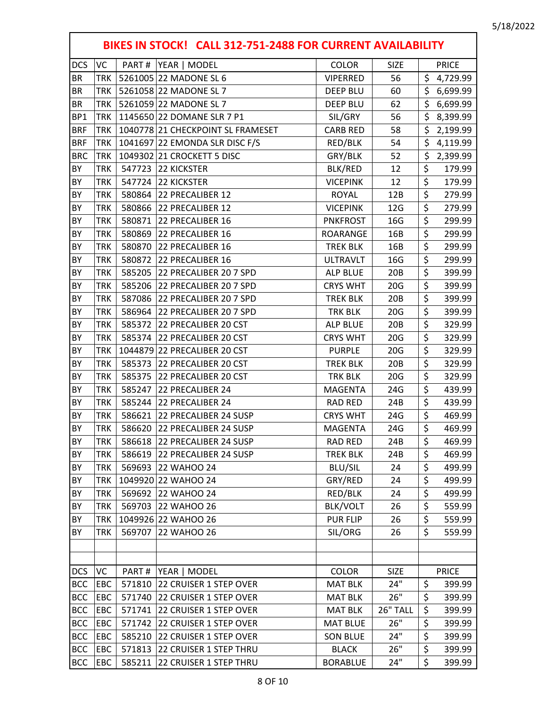|                 |            |        | BIKES IN STOCK! CALL 312-751-2488 FOR CURRENT AVAILABILITY |                 |             |                                 |              |
|-----------------|------------|--------|------------------------------------------------------------|-----------------|-------------|---------------------------------|--------------|
| <b>DCS</b>      | VC         | PART#  | YEAR   MODEL                                               | <b>COLOR</b>    | <b>SIZE</b> |                                 | <b>PRICE</b> |
| <b>BR</b>       | <b>TRK</b> |        | 5261005 22 MADONE SL 6                                     | <b>VIPERRED</b> | 56          | \$                              | 4,729.99     |
| <b>BR</b>       | <b>TRK</b> |        | 5261058 22 MADONE SL 7                                     | <b>DEEP BLU</b> | 60          | \$                              | 6,699.99     |
| <b>BR</b>       | <b>TRK</b> |        | 5261059 22 MADONE SL 7                                     | <b>DEEP BLU</b> | 62          | \$                              | 6,699.99     |
| BP <sub>1</sub> | <b>TRK</b> |        | 1145650 22 DOMANE SLR 7 P1                                 | SIL/GRY         | 56          | \$                              | 8,399.99     |
| <b>BRF</b>      | <b>TRK</b> |        | 1040778 21 CHECKPOINT SL FRAMESET                          | <b>CARB RED</b> | 58          | \$                              | 2,199.99     |
| <b>BRF</b>      | <b>TRK</b> |        | 1041697 22 EMONDA SLR DISC F/S                             | RED/BLK         | 54          | \$                              | 4,119.99     |
| <b>BRC</b>      | <b>TRK</b> |        | 1049302 21 CROCKETT 5 DISC                                 | GRY/BLK         | 52          | \$                              | 2,399.99     |
| BY              | <b>TRK</b> |        | 547723 22 KICKSTER                                         | BLK/RED         | 12          | \$                              | 179.99       |
| BY              | <b>TRK</b> | 547724 | <b>22 KICKSTER</b>                                         | <b>VICEPINK</b> | 12          | $\overline{\boldsymbol{\zeta}}$ | 179.99       |
| BY              | <b>TRK</b> | 580864 | 22 PRECALIBER 12                                           | <b>ROYAL</b>    | 12B         | $\overline{\xi}$                | 279.99       |
| BY              | <b>TRK</b> | 580866 | 22 PRECALIBER 12                                           | <b>VICEPINK</b> | 12G         | $\overline{\xi}$                | 279.99       |
| BY              | <b>TRK</b> | 580871 | 22 PRECALIBER 16                                           | <b>PNKFROST</b> | 16G         | \$                              | 299.99       |
| BY              | <b>TRK</b> | 580869 | 22 PRECALIBER 16                                           | ROARANGE        | 16B         | $\overline{\xi}$                | 299.99       |
| BY              | <b>TRK</b> | 580870 | 22 PRECALIBER 16                                           | <b>TREK BLK</b> | 16B         | $\overline{\xi}$                | 299.99       |
| BY              | <b>TRK</b> | 580872 | 22 PRECALIBER 16                                           | <b>ULTRAVLT</b> | 16G         | \$                              | 299.99       |
| BY              | <b>TRK</b> | 585205 | 22 PRECALIBER 20 7 SPD                                     | <b>ALP BLUE</b> | 20B         | $\overline{\boldsymbol{\zeta}}$ | 399.99       |
| BY              | <b>TRK</b> | 585206 | 22 PRECALIBER 20 7 SPD                                     | <b>CRYS WHT</b> | 20G         | $\overline{\xi}$                | 399.99       |
| BY              | <b>TRK</b> | 587086 | 22 PRECALIBER 20 7 SPD                                     | <b>TREK BLK</b> | 20B         | $\overline{\xi}$                | 399.99       |
| BY              | <b>TRK</b> | 586964 | 22 PRECALIBER 20 7 SPD                                     | <b>TRK BLK</b>  | 20G         | $\overline{\boldsymbol{\zeta}}$ | 399.99       |
| BY              | <b>TRK</b> | 585372 | 22 PRECALIBER 20 CST                                       | <b>ALP BLUE</b> | 20B         | $\overline{\xi}$                | 329.99       |
| BY              | <b>TRK</b> | 585374 | 22 PRECALIBER 20 CST                                       | <b>CRYS WHT</b> | 20G         | $\overline{\xi}$                | 329.99       |
| BY              | <b>TRK</b> |        | 1044879 22 PRECALIBER 20 CST                               | <b>PURPLE</b>   | 20G         | $\overline{\xi}$                | 329.99       |
| BY              | <b>TRK</b> | 585373 | 22 PRECALIBER 20 CST                                       | <b>TREK BLK</b> | 20B         | \$                              | 329.99       |
| BY              | <b>TRK</b> | 585375 | 22 PRECALIBER 20 CST                                       | TRK BLK         | 20G         | \$                              | 329.99       |
| BY              | <b>TRK</b> | 585247 | 22 PRECALIBER 24                                           | MAGENTA         | 24G         | $\overline{\xi}$                | 439.99       |
| BY              | <b>TRK</b> | 585244 | 22 PRECALIBER 24                                           | <b>RAD RED</b>  | 24B         | \$                              | 439.99       |
| BY              | <b>TRK</b> | 586621 | 22 PRECALIBER 24 SUSP                                      | <b>CRYS WHT</b> | 24G         | $\overline{\xi}$                | 469.99       |
| BY              | <b>TRK</b> |        | 586620 22 PRECALIBER 24 SUSP                               | <b>MAGENTA</b>  | 24G         | $\overline{\xi}$                | 469.99       |
| BY              | <b>TRK</b> |        | 586618 22 PRECALIBER 24 SUSP                               | RAD RED         | 24B         | \$                              | 469.99       |
| BY              | <b>TRK</b> |        | 586619 22 PRECALIBER 24 SUSP                               | <b>TREK BLK</b> | 24B         | \$                              | 469.99       |
| BY              | <b>TRK</b> | 569693 | 22 WAHOO 24                                                | <b>BLU/SIL</b>  | 24          | \$                              | 499.99       |
| BY              | <b>TRK</b> |        | 1049920 22 WAHOO 24                                        | GRY/RED         | 24          | \$                              | 499.99       |
| BY              | <b>TRK</b> | 569692 | 22 WAHOO 24                                                | RED/BLK         | 24          | \$                              | 499.99       |
| BY              | <b>TRK</b> |        | 569703 22 WAHOO 26                                         | BLK/VOLT        | 26          | \$                              | 559.99       |
| BY              | <b>TRK</b> |        | 1049926 22 WAHOO 26                                        | <b>PUR FLIP</b> | 26          | \$                              | 559.99       |
| BY              | <b>TRK</b> | 569707 | 22 WAHOO 26                                                | SIL/ORG         | 26          | \$                              | 559.99       |
|                 |            |        |                                                            |                 |             |                                 |              |
| <b>DCS</b>      | VC         | PART#  | YEAR   MODEL                                               | COLOR           | <b>SIZE</b> |                                 | <b>PRICE</b> |
| <b>BCC</b>      | EBC        | 571810 | 22 CRUISER 1 STEP OVER                                     | <b>MAT BLK</b>  | 24"         | \$                              | 399.99       |
| <b>BCC</b>      | EBC        | 571740 | 22 CRUISER 1 STEP OVER                                     | <b>MAT BLK</b>  | 26"         | \$                              | 399.99       |
| <b>BCC</b>      | EBC        | 571741 | 22 CRUISER 1 STEP OVER                                     | <b>MAT BLK</b>  | 26" TALL    | \$                              | 399.99       |
| <b>BCC</b>      | EBC        | 571742 | 22 CRUISER 1 STEP OVER                                     | <b>MAT BLUE</b> | 26"         | \$                              | 399.99       |
| <b>BCC</b>      | EBC        | 585210 | 22 CRUISER 1 STEP OVER                                     | <b>SON BLUE</b> | 24"         | \$                              | 399.99       |
| <b>BCC</b>      | EBC        | 571813 | 22 CRUISER 1 STEP THRU                                     | <b>BLACK</b>    | 26"         | \$                              | 399.99       |
| <b>BCC</b>      | EBC        | 585211 | 22 CRUISER 1 STEP THRU                                     | <b>BORABLUE</b> | 24"         | \$                              | 399.99       |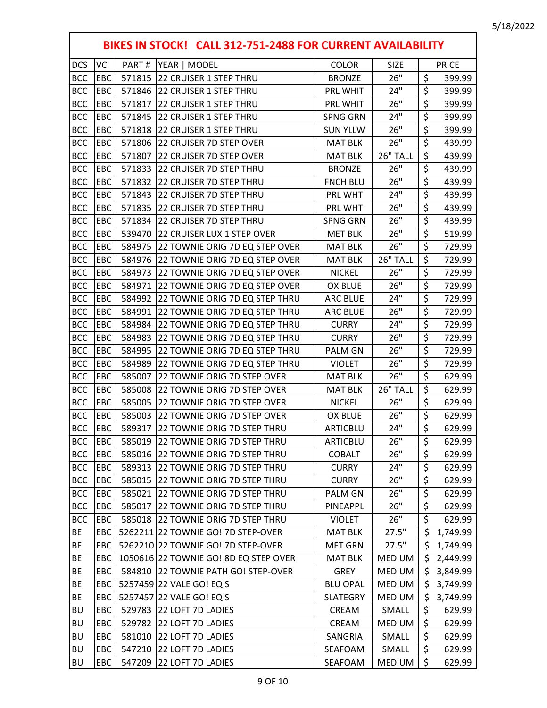|            | BIKES IN STOCK! CALL 312-751-2488 FOR CURRENT AVAILABILITY |        |                                       |                 |               |                                 |              |  |  |  |
|------------|------------------------------------------------------------|--------|---------------------------------------|-----------------|---------------|---------------------------------|--------------|--|--|--|
| <b>DCS</b> | VC                                                         | PART#  | YEAR   MODEL                          | <b>COLOR</b>    | <b>SIZE</b>   |                                 | <b>PRICE</b> |  |  |  |
| <b>BCC</b> | EBC                                                        | 571815 | 22 CRUISER 1 STEP THRU                | <b>BRONZE</b>   | 26"           | \$                              | 399.99       |  |  |  |
| <b>BCC</b> | EBC                                                        |        | 571846 22 CRUISER 1 STEP THRU         | PRL WHIT        | 24"           | \$                              | 399.99       |  |  |  |
| <b>BCC</b> | EBC                                                        | 571817 | 22 CRUISER 1 STEP THRU                | PRL WHIT        | 26"           | \$                              | 399.99       |  |  |  |
| <b>BCC</b> | EBC                                                        | 571845 | 22 CRUISER 1 STEP THRU                | <b>SPNG GRN</b> | 24"           | $\overline{\xi}$                | 399.99       |  |  |  |
| <b>BCC</b> | EBC                                                        | 571818 | 22 CRUISER 1 STEP THRU                | <b>SUN YLLW</b> | 26"           | $\overline{\boldsymbol{\zeta}}$ | 399.99       |  |  |  |
| <b>BCC</b> | EBC                                                        | 571806 | 22 CRUISER 7D STEP OVER               | <b>MAT BLK</b>  | 26"           | $\overline{\xi}$                | 439.99       |  |  |  |
| <b>BCC</b> | EBC                                                        | 571807 | 22 CRUISER 7D STEP OVER               | <b>MAT BLK</b>  | 26" TALL      | \$                              | 439.99       |  |  |  |
| <b>BCC</b> | EBC                                                        | 571833 | 22 CRUISER 7D STEP THRU               | <b>BRONZE</b>   | 26"           | \$                              | 439.99       |  |  |  |
| <b>BCC</b> | EBC                                                        | 571832 | 22 CRUISER 7D STEP THRU               | <b>FNCH BLU</b> | 26"           | \$                              | 439.99       |  |  |  |
| <b>BCC</b> | EBC                                                        | 571843 | 22 CRUISER 7D STEP THRU               | PRL WHT         | 24"           | \$                              | 439.99       |  |  |  |
| <b>BCC</b> | EBC                                                        | 571835 | 22 CRUISER 7D STEP THRU               | PRL WHT         | 26"           | \$                              | 439.99       |  |  |  |
| <b>BCC</b> | EBC                                                        | 571834 | 22 CRUISER 7D STEP THRU               | <b>SPNG GRN</b> | 26"           | \$                              | 439.99       |  |  |  |
| <b>BCC</b> | EBC                                                        | 539470 | 22 CRUISER LUX 1 STEP OVER            | <b>MET BLK</b>  | 26"           | $\overline{\boldsymbol{\zeta}}$ | 519.99       |  |  |  |
| <b>BCC</b> | EBC                                                        | 584975 | 22 TOWNIE ORIG 7D EQ STEP OVER        | <b>MAT BLK</b>  | 26"           | $\overline{\xi}$                | 729.99       |  |  |  |
| <b>BCC</b> | EBC                                                        | 584976 | 22 TOWNIE ORIG 7D EQ STEP OVER        | <b>MAT BLK</b>  | 26" TALL      | $\overline{\boldsymbol{\zeta}}$ | 729.99       |  |  |  |
| <b>BCC</b> | EBC                                                        |        | 584973 22 TOWNIE ORIG 7D EQ STEP OVER | <b>NICKEL</b>   | 26"           | \$                              | 729.99       |  |  |  |
| <b>BCC</b> | EBC                                                        | 584971 | 22 TOWNIE ORIG 7D EQ STEP OVER        | <b>OX BLUE</b>  | 26"           | \$                              | 729.99       |  |  |  |
| <b>BCC</b> | EBC                                                        | 584992 | 22 TOWNIE ORIG 7D EQ STEP THRU        | <b>ARC BLUE</b> | 24"           | \$                              | 729.99       |  |  |  |
| <b>BCC</b> | EBC                                                        | 584991 | 22 TOWNIE ORIG 7D EQ STEP THRU        | <b>ARC BLUE</b> | 26"           | \$                              | 729.99       |  |  |  |
| <b>BCC</b> | EBC                                                        | 584984 | 22 TOWNIE ORIG 7D EQ STEP THRU        | <b>CURRY</b>    | 24"           | $\overline{\boldsymbol{\zeta}}$ | 729.99       |  |  |  |
| <b>BCC</b> | EBC                                                        | 584983 | 22 TOWNIE ORIG 7D EQ STEP THRU        | <b>CURRY</b>    | 26"           | \$                              | 729.99       |  |  |  |
| <b>BCC</b> | EBC                                                        | 584995 | 22 TOWNIE ORIG 7D EQ STEP THRU        | PALM GN         | 26"           | \$                              | 729.99       |  |  |  |
| <b>BCC</b> | EBC                                                        | 584989 | 22 TOWNIE ORIG 7D EQ STEP THRU        | <b>VIOLET</b>   | 26"           | \$                              | 729.99       |  |  |  |
| <b>BCC</b> | EBC                                                        | 585007 | 22 TOWNIE ORIG 7D STEP OVER           | <b>MAT BLK</b>  | 26"           | $\overline{\xi}$                | 629.99       |  |  |  |
| <b>BCC</b> | EBC                                                        | 585008 | 22 TOWNIE ORIG 7D STEP OVER           | <b>MAT BLK</b>  | 26" TALL      | \$                              | 629.99       |  |  |  |
| <b>BCC</b> | EBC                                                        | 585005 | 22 TOWNIE ORIG 7D STEP OVER           | <b>NICKEL</b>   | 26"           | \$                              | 629.99       |  |  |  |
| <b>BCC</b> | EBC                                                        | 585003 | 22 TOWNIE ORIG 7D STEP OVER           | OX BLUE         | 26"           | $\overline{\xi}$                | 629.99       |  |  |  |
| <b>BCC</b> | EBC                                                        |        | 589317 22 TOWNIE ORIG 7D STEP THRU    | <b>ARTICBLU</b> | 24"           | $\overline{\xi}$                | 629.99       |  |  |  |
| <b>BCC</b> | EBC                                                        |        | 585019 22 TOWNIE ORIG 7D STEP THRU    | ARTICBLU        | 26"           | $\overline{\xi}$                | 629.99       |  |  |  |
| <b>BCC</b> | EBC                                                        |        | 585016 22 TOWNIE ORIG 7D STEP THRU    | <b>COBALT</b>   | 26"           | \$                              | 629.99       |  |  |  |
| <b>BCC</b> | EBC                                                        |        | 589313 22 TOWNIE ORIG 7D STEP THRU    | <b>CURRY</b>    | 24"           | \$                              | 629.99       |  |  |  |
| <b>BCC</b> | EBC                                                        |        | 585015 22 TOWNIE ORIG 7D STEP THRU    | <b>CURRY</b>    | 26"           | \$                              | 629.99       |  |  |  |
| <b>BCC</b> | EBC                                                        |        | 585021 22 TOWNIE ORIG 7D STEP THRU    | PALM GN         | 26"           | \$                              | 629.99       |  |  |  |
| <b>BCC</b> | EBC                                                        |        | 585017 22 TOWNIE ORIG 7D STEP THRU    | PINEAPPL        | 26"           | \$                              | 629.99       |  |  |  |
| <b>BCC</b> | <b>EBC</b>                                                 |        | 585018 22 TOWNIE ORIG 7D STEP THRU    | <b>VIOLET</b>   | 26"           | \$                              | 629.99       |  |  |  |
| <b>BE</b>  | EBC                                                        |        | 5262211 22 TOWNIE GO! 7D STEP-OVER    | <b>MAT BLK</b>  | 27.5"         | \$                              | 1,749.99     |  |  |  |
| BE         | EBC                                                        |        | 5262210 22 TOWNIE GO! 7D STEP-OVER    | <b>MET GRN</b>  | 27.5"         | \$                              | 1,749.99     |  |  |  |
| <b>BE</b>  | EBC                                                        |        | 1050616 22 TOWNIE GO! 8D EQ STEP OVER | <b>MAT BLK</b>  | <b>MEDIUM</b> | $\zeta$                         | 2,449.99     |  |  |  |
| <b>BE</b>  | EBC                                                        |        | 584810 22 TOWNIE PATH GO! STEP-OVER   | <b>GREY</b>     | <b>MEDIUM</b> | \$                              | 3,849.99     |  |  |  |
| <b>BE</b>  | EBC                                                        |        | 5257459 22 VALE GO! EQ S              | <b>BLU OPAL</b> | <b>MEDIUM</b> | \$                              | 3,749.99     |  |  |  |
| BE         | EBC                                                        |        | 5257457 22 VALE GO! EQ S              | <b>SLATEGRY</b> | <b>MEDIUM</b> | \$                              | 3,749.99     |  |  |  |
| <b>BU</b>  | EBC                                                        |        | 529783 22 LOFT 7D LADIES              | CREAM           | SMALL         | \$                              | 629.99       |  |  |  |
| <b>BU</b>  | EBC                                                        |        | 529782 22 LOFT 7D LADIES              | CREAM           | <b>MEDIUM</b> | \$                              | 629.99       |  |  |  |
| <b>BU</b>  | EBC                                                        | 581010 | 22 LOFT 7D LADIES                     | SANGRIA         | SMALL         | \$                              | 629.99       |  |  |  |
| <b>BU</b>  | EBC                                                        |        | 547210 22 LOFT 7D LADIES              | SEAFOAM         | SMALL         | \$                              | 629.99       |  |  |  |
| BU         | EBC                                                        |        | 547209 22 LOFT 7D LADIES              | SEAFOAM         | <b>MEDIUM</b> | \$                              | 629.99       |  |  |  |

Г